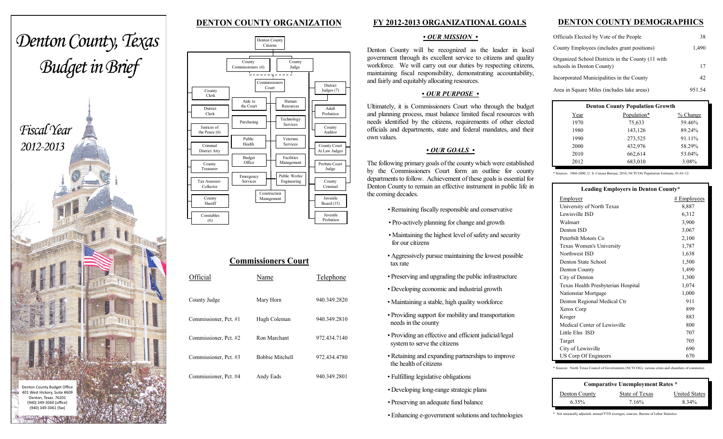# **DENTON COUNTY ORGANIZATION**



|                                      |                                    | Denton County<br>Citizens                  |                                     |
|--------------------------------------|------------------------------------|--------------------------------------------|-------------------------------------|
|                                      | County<br>Commissioners (4)        | County<br>Judge                            |                                     |
| County<br>Clerk                      |                                    | Commissioners<br>Court                     | <b>District</b><br>Judges (7)       |
| District<br>Clerk                    | Aide to<br>the Court<br>Purchasing | Human<br>Resources<br>Technology           | Adult<br>Probation                  |
| Justices of<br>the Peace $(6)$       | Public                             | Services<br>Veterans                       | County<br>Auditor                   |
| Criminal<br>District Atty            | Health<br><b>Budget</b><br>Office  | <b>Services</b><br>Facilities              | County Court<br>At Law Judges       |
| County<br>Treasurer<br>Tax Assessor- | Emergency<br><b>Services</b>       | Management<br>Public Works/<br>Engineering | Probate Court<br>Judge<br>County    |
| Collector<br>County<br>Sheriff       |                                    | Construction<br>Management                 | Criminal<br>Juvenile                |
| Constables<br>(6)                    |                                    |                                            | Board (15)<br>Juvenile<br>Probation |

| <b>Commissioners Court</b> |                        |              |  |  |  |
|----------------------------|------------------------|--------------|--|--|--|
| Official                   | Name                   | Telephone    |  |  |  |
| County Judge               | Mary Horn              | 940.349.2820 |  |  |  |
| Commissioner, Pct. #1      | Hugh Coleman           | 940.349.2810 |  |  |  |
| Commissioner, Pct. #2      | Ron Marchant           | 972.434.7140 |  |  |  |
| Commissioner, Pct. #3      | <b>Bobbie Mitchell</b> | 972.434.4780 |  |  |  |
| Commissioner, Pct. #4      | Andy Eads              | 940.349.2801 |  |  |  |

## **FY 2012-2013 ORGANIZATIONAL GOALS**

#### *• OUR MISSION •*

Denton County will be recognized as the leader in local government through its excellent service to citizens and quality workforce. We will carry out our duties by respecting citizens, maintaining fiscal responsibility, demonstrating accountability, and fairly and equitably allocating resources.

## *• OUR PURPOSE •*

Ultimately, it is Commissioners Court who through the budget and planning process, must balance limited fiscal resources with needs identified by the citizens, requirements of other elected officials and departments, state and federal mandates, and their own values.

## *• OUR GOALS •*

The following primary goals of the county which were established by the Commissioners Court form an outline for county departments to follow. Achievement of these goals is essential for Denton County to remain an effective instrument in public life in the coming decades.

- *•* Remaining fiscally responsible and conservative
- Pro -actively planning for change and growth
- Maintaining the highest level of safety and security for our citizens
- Aggressively pursue maintaining the lowest possible tax rate
- Preserving and upgrading the public infrastructure
- Developing economic and industrial growth
- Maintaining a stable, high quality workforc e
- Providing support for mobility and transportation needs in the county
- Providing an effective and efficient judicial/legal system to serve the citizens
- Retaining and expanding partnerships to improve the health of citizens
- Fulfilling legislative obligations
- *•* Developing long-range strategic plans
- *•* Preserving an adequate fund balance

*•* Enhancing e-government solutions and technologies

## **DENTON COUNTY DEMOGRAPHICS**

| Officials Elected by Vote of the People                                        | 38     |
|--------------------------------------------------------------------------------|--------|
| County Employees (includes grant positions)                                    | 1,490  |
| Organized School Districts in the County (11 with<br>schools in Denton County) | 17     |
| Incorporated Municipalities in the County                                      | 42     |
| Area in Square Miles (includes lake areas)                                     | 951.54 |

| <b>Denton County Population Growth</b> |             |          |  |  |  |
|----------------------------------------|-------------|----------|--|--|--|
| Year                                   | Population* | % Change |  |  |  |
| 1970                                   | 75,633      | 59.46%   |  |  |  |
| 1980                                   | 143,126     | 89.24%   |  |  |  |
| 1990                                   | 273,525     | 91.11%   |  |  |  |
| 2000                                   | 432,976     | 58.29%   |  |  |  |
| 2010                                   | 662,614     | 53.04%   |  |  |  |
| 2012                                   | 683,010     | 3.08%    |  |  |  |

\* Sources: 1960-2000, U. S. Census Bureau; 2010, NCTCOG Population Estimate, 01-01-12.

| Leading Employers in Denton County* |               |
|-------------------------------------|---------------|
| Employer                            | $#$ Employees |
| University of North Texas           | 8,887         |
| Lewisville ISD                      | 6,312         |
| Walmart                             | 3,900         |
| Denton ISD                          | 3,067         |
| Peterbilt Motors Co                 | 2,100         |
| Texas Women's University            | 1,787         |
| Northwest ISD                       | 1,638         |
| Denton State School                 | 1,500         |
| Denton County                       | 1,490         |
| City of Denton                      | 1,300         |
| Texas Health Presbyterian Hospital  | 1,074         |
| Nationstar Mortgage                 | 1,000         |
| Denton Regional Medical Ctr         | 911           |
| Xerox Corp                          | 899           |
| Kroger                              | 883           |
| Medical Center of Lewisville        | 800           |
| Little Elm ISD                      | 707           |
| Target                              | 705           |
| City of Lewisville                  | 690           |
| US Corp Of Engineers                | 670           |

\* Sources: North Texas Council of Governments (NCTCOG), various cities and chambers of commerce.

| <b>Comparative Unemployment Rates *</b> |                |                      |  |  |
|-----------------------------------------|----------------|----------------------|--|--|
| Denton County                           | State of Texas | <b>United States</b> |  |  |
| 6.35%                                   | 7.16%          | 8 3 4 %              |  |  |

\* Not seasonally adjusted; annual/YTD averages; sources: Bureau of Labor Statistics